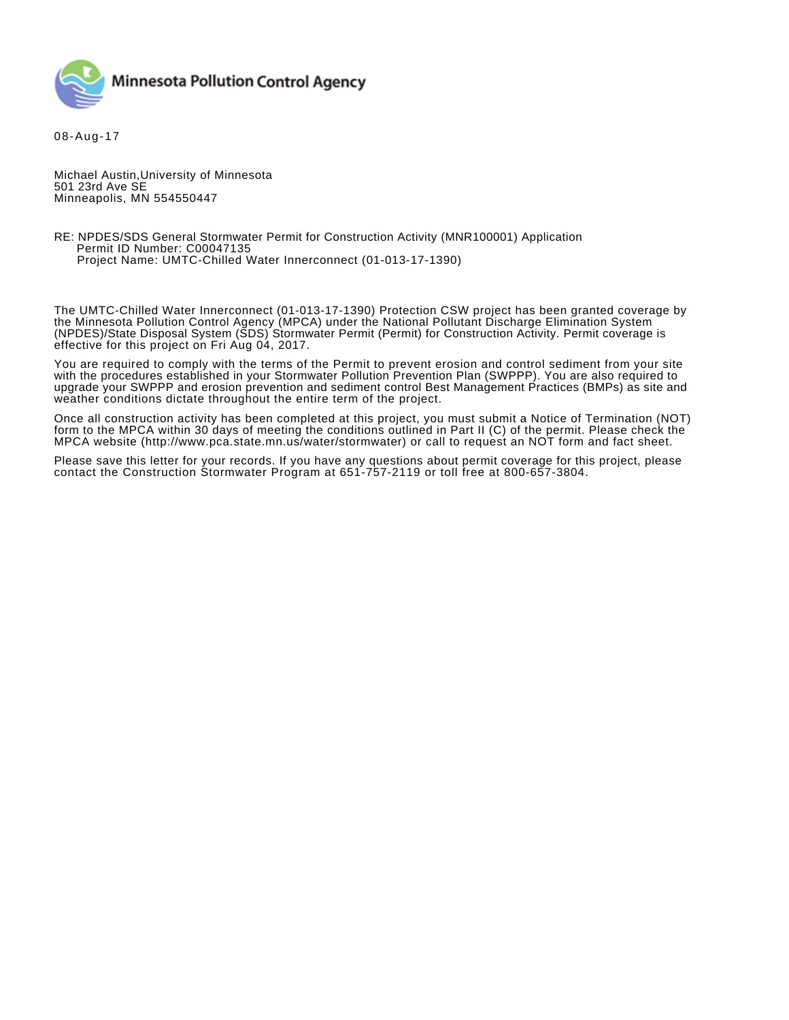

08-Aug-17

Michael Austin,University of Minnesota 501 23rd Ave SE Minneapolis, MN 554550447

#### RE: NPDES/SDS General Stormwater Permit for Construction Activity (MNR100001) Application Permit ID Number: C00047135 Project Name: UMTC-Chilled Water Innerconnect (01-013-17-1390)

The UMTC-Chilled Water Innerconnect (01-013-17-1390) Protection CSW project has been granted coverage by the Minnesota Pollution Control Agency (MPCA) under the National Pollutant Discharge Elimination System (NPDES)/State Disposal System (SDS) Stormwater Permit (Permit) for Construction Activity. Permit coverage is effective for this project on Fri Aug 04, 2017.

You are required to comply with the terms of the Permit to prevent erosion and control sediment from your site with the procedures established in your Stormwater Pollution Prevention Plan (SWPPP). You are also required to upgrade your SWPPP and erosion prevention and sediment control Best Management Practices (BMPs) as site and weather conditions dictate throughout the entire term of the project.

Once all construction activity has been completed at this project, you must submit a Notice of Termination (NOT) form to the MPCA within 30 days of meeting the conditions outlined in Part II (C) of the permit. Please check the MPCA website (http://www.pca.state.mn.us/water/stormwater) or call to request an NOT form and fact sheet.

Please save this letter for your records. If you have any questions about permit coverage for this project, please contact the Construction Stormwater Program at 651-757-2119 or toll free at 800-657-3804.